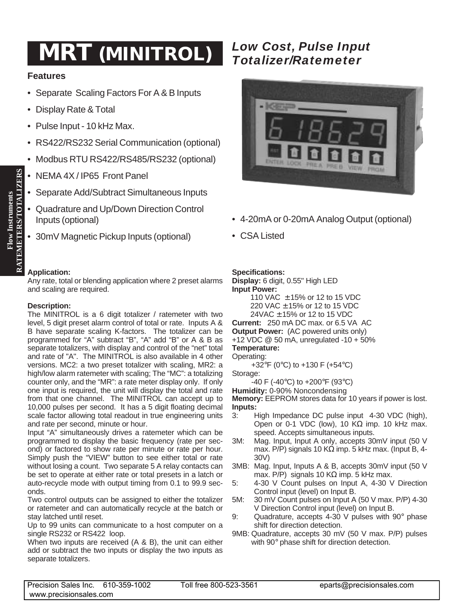## *Low Cost, Pulse Input* **MRT** *Totalizer/Ratemeter* **(MINITROL)**

### **Features**

- Separate Scaling Factors For A & B Inputs
- Display Rate & Total
- Pulse Input 10 kHz Max.
- RS422/RS232 Serial Communication (optional)
- Modbus RTU RS422/RS485/RS232 (optional)
- NEMA 4X / IP65 Front Panel
- Separate Add/Subtract Simultaneous Inputs
- Quadrature and Up/Down Direction Control Inputs (optional)
- 30mV Magnetic Pickup Inputs (optional)

#### **Application:**

Any rate, total or blending application where 2 preset alarms and scaling are required.

#### **Description:**

The MINITROL is a 6 digit totalizer / ratemeter with two level, 5 digit preset alarm control of total or rate. Inputs A & B have separate scaling K-factors. The totalizer can be programmed for "A" subtract "B", "A" add "B" or A & B as separate totalizers, with display and control of the "net" total and rate of "A". The MINITROL is also available in 4 other versions. MC2: a two preset totalizer with scaling, MR2: a high/low alarm ratemeter with scaling; The "MC": a totalizing counter only, and the "MR": a rate meter display only. If only one input is required, the unit will display the total and rate from that one channel. The MINITROL can accept up to 10,000 pulses per second. It has a 5 digit floating decimal scale factor allowing total readout in true engineering units and rate per second, minute or hour.

Input "A" simultaneously drives a ratemeter which can be programmed to display the basic frequency (rate per second) or factored to show rate per minute or rate per hour. Simply push the "VIEW" button to see either total or rate without losing a count. Two separate 5 A relay contacts can be set to operate at either rate or total presets in a latch or auto-recycle mode with output timing from 0.1 to 99.9 seconds.

Two control outputs can be assigned to either the totalizer or ratemeter and can automatically recycle at the batch or stay latched until reset.

Up to 99 units can communicate to a host computer on a single RS232 or RS422 loop.

When two inputs are received (A & B), the unit can either add or subtract the two inputs or display the two inputs as separate totalizers.



- 4-20mA or 0-20mA Analog Output (optional)
- CSA Listed

#### **Specifications:**

**Display:** 6 digit, 0.55" High LED **Input Power:** 110 VAC ± 15% or 12 to 15 VDC

220 VAC ± 15% or 12 to 15 VDC

24VAC ± 15% or 12 to 15 VDC

**Current:** 250 mA DC max. or 6.5 VA AC

**Output Power:** (AC powered units only) +12 VDC @ 50 mA, unregulated -10 + 50%

**Temperature:**

Operating:

+32 $\degree$ F (0 $\degree$ C) to +130 F (+54 $\degree$ C)

Storage:

-40 F (-40°C) to +200°F (93°C)

**Humidity:** 0-90% Noncondensing

**Memory:** EEPROM stores data for 10 years if power is lost. **Inputs:**

- 3: High Impedance DC pulse input 4-30 VDC (high), Open or 0-1 VDC (low), 10 K $\Omega$  imp. 10 kHz max. speed. Accepts simultaneous inputs.
- 3M: Mag. Input, Input A only, accepts 30mV input (50 V max. P/P) signals 10 KΩ imp. 5 kHz max. (Input B, 4-30V)
- 3MB: Mag. Input, Inputs A & B, accepts 30mV input (50 V max. P/P) signals 10 KΩ imp. 5 kHz max.
- 5: 4-30 V Count pulses on Input A, 4-30 V Direction Control input (level) on Input B.
- 5M: 30 mV Count pulses on Input A (50 V max. P/P) 4-30 V Direction Control input (level) on Input B.
- 9: Quadrature, accepts 4-30 V pulses with 90° phase shift for direction detection.
- 9MB: Quadrature, accepts 30 mV (50 V max. P/P) pulses with 90° phase shift for direction detection.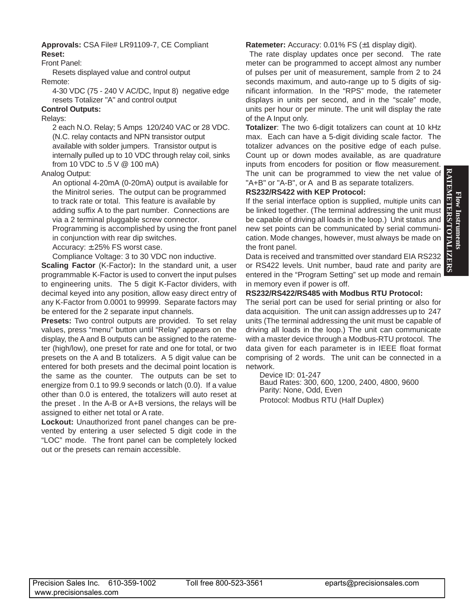# **RATEMETERS/TOTALIZERS** Flow Instruments **Flow Instruments**

#### **Approvals:** CSA File# LR91109-7, CE Compliant **Reset:**

Front Panel:

Resets displayed value and control output

Remote:

4-30 VDC (75 - 240 V AC/DC, Input 8) negative edge resets Totalizer "A" and control output

#### **Control Outputs:**

Relays:

2 each N.O. Relay; 5 Amps 120/240 VAC or 28 VDC. (N.C. relay contacts and NPN transistor output available with solder jumpers. Transistor output is internally pulled up to 10 VDC through relay coil, sinks from 10 VDC to .5 V @ 100 mA)

Analog Output:

An optional 4-20mA (0-20mA) output is available for the Minitrol series. The output can be programmed to track rate or total. This feature is available by adding suffix A to the part number. Connections are via a 2 terminal pluggable screw connector.

Programming is accomplished by using the front panel in conjunction with rear dip switches.

Accuracy: ±.25% FS worst case.

Compliance Voltage: 3 to 30 VDC non inductive.

**Scaling Factor** (K-Factor)**:** In the standard unit, a user programmable K-Factor is used to convert the input pulses to engineering units. The 5 digit K-Factor dividers, with decimal keyed into any position, allow easy direct entry of any K-Factor from 0.0001 to 99999. Separate factors may be entered for the 2 separate input channels.

**Presets:** Two control outputs are provided. To set relay values, press "menu" button until "Relay" appears on the display, the A and B outputs can be assigned to the ratemeter (high/low), one preset for rate and one for total, or two presets on the A and B totalizers. A 5 digit value can be entered for both presets and the decimal point location is the same as the counter. The outputs can be set to energize from 0.1 to 99.9 seconds or latch (0.0). If a value other than 0.0 is entered, the totalizers will auto reset at the preset . In the A-B or A+B versions, the relays will be assigned to either net total or A rate.

**Lockout:** Unauthorized front panel changes can be prevented by entering a user selected 5 digit code in the "LOC" mode. The front panel can be completely locked out or the presets can remain accessible.

#### **Ratemeter:** Accuracy: 0.01% FS (±1 display digit).

The rate display updates once per second. The rate meter can be programmed to accept almost any number of pulses per unit of measurement, sample from 2 to 24 seconds maximum, and auto-range up to 5 digits of significant information. In the "RPS" mode, the ratemeter displays in units per second, and in the "scale" mode, units per hour or per minute. The unit will display the rate of the A Input only.

**Totalizer**: The two 6-digit totalizers can count at 10 kHz max. Each can have a 5-digit dividing scale factor. The totalizer advances on the positive edge of each pulse. Count up or down modes available, as are quadrature inputs from encoders for position or flow measurement. The unit can be programmed to view the net value of "A+B" or "A-B", or A and B as separate totalizers.

#### **RS232/RS422 with KEP Protocol:**

If the serial interface option is supplied, multiple units can be linked together. (The terminal addressing the unit must be capable of driving all loads in the loop.) Unit status and new set points can be communicated by serial communication. Mode changes, however, must always be made on the front panel.

Data is received and transmitted over standard EIA RS232 or RS422 levels. Unit number, baud rate and parity are entered in the "Program Setting" set up mode and remain in memory even if power is off.

#### **RS232/RS422/RS485 with Modbus RTU Protocol:**

The serial port can be used for serial printing or also for data acquisition. The unit can assign addresses up to 247 units (The terminal addressing the unit must be capable of driving all loads in the loop.) The unit can communicate with a master device through a Modbus-RTU protocol. The data given for each parameter is in IEEE float format comprising of 2 words. The unit can be connected in a network.

Device ID: 01-247

Baud Rates: 300, 600, 1200, 2400, 4800, 9600 Parity: None, Odd, Even Protocol: Modbus RTU (Half Duplex)